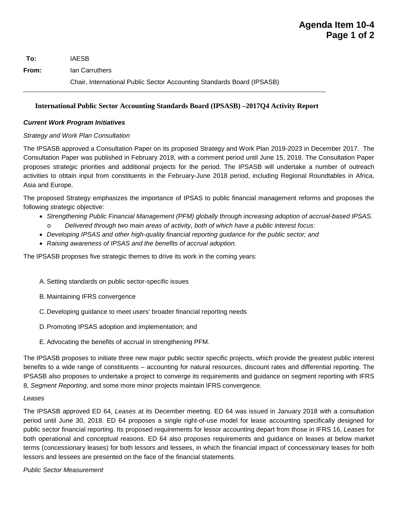**To:** IAESB **From:** Ian Carruthers Chair, International Public Sector Accounting Standards Board (IPSASB)

## **International Public Sector Accounting Standards Board (IPSASB) –2017Q4 Activity Report**

## *Current Work Program Initiatives*

## *Strategy and Work Plan Consultation*

The IPSASB approved a Consultation Paper on its proposed Strategy and Work Plan 2019-2023 in December 2017. The Consultation Paper was published in February 2018, with a comment period until June 15, 2018. The Consultation Paper proposes strategic priorities and additional projects for the period. The IPSASB will undertake a number of outreach activities to obtain input from constituents in the February-June 2018 period, including Regional Roundtables in Africa, Asia and Europe.

The proposed Strategy emphasizes the importance of IPSAS to public financial management reforms and proposes the following strategic objective:

- *Strengthening Public Financial Management (PFM) globally through increasing adoption of accrual-based IPSAS.* Delivered through two main areas of activity, both of which have a public interest focus:
- *Developing IPSAS and other high-quality financial reporting guidance for the public sector; and*
- *Raising awareness of IPSAS and the benefits of accrual adoption.*

The IPSASB proposes five strategic themes to drive its work in the coming years:

- A. Setting standards on public sector-specific issues
- B. Maintaining IFRS convergence
- C.Developing guidance to meet users' broader financial reporting needs
- D. Promoting IPSAS adoption and implementation; and
- E. Advocating the benefits of accrual in strengthening PFM.

The IPSASB proposes to initiate three new major public sector specific projects, which provide the greatest public interest benefits to a wide range of constituents – accounting for natural resources, discount rates and differential reporting. The IPSASB also proposes to undertake a project to converge its requirements and guidance on segment reporting with IFRS 8, *Segment Reporting,* and some more minor projects maintain IFRS convergence.

#### *Leases*

The IPSASB approved ED 64, *Leases* at its December meeting. ED 64 was issued in January 2018 with a consultation period until June 30, 2018. ED 64 proposes a single right-of-use model for lease accounting specifically designed for public sector financial reporting. Its proposed requirements for lessor accounting depart from those in IFRS 16, *Leases* for both operational and conceptual reasons. ED 64 also proposes requirements and guidance on leases at below market terms (concessionary leases) for both lessors and lessees, in which the financial impact of concessionary leases for both lessors and lessees are presented on the face of the financial statements.

*Public Sector Measurement*